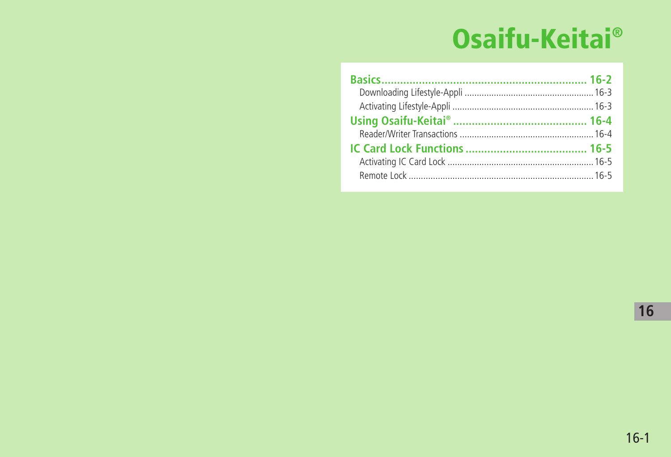# Osaifu-Keitai®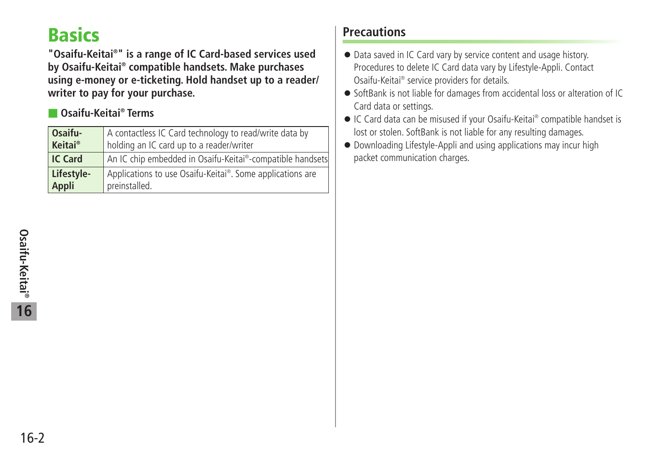# <span id="page-1-0"></span>**Basics**

**"Osaifu-Keitai® " is a range of IC Card-based services used by Osaifu-Keitai® compatible handsets. Make purchases using e-money or e-ticketing. Hold handset up to a reader/ writer to pay for your purchase.**

#### ■ **Osaifu-Keitai® Terms**

| Osaifu-    | A contactless IC Card technology to read/write data by    |
|------------|-----------------------------------------------------------|
| Keitai®    | holding an IC card up to a reader/writer                  |
| IC Card    | An IC chip embedded in Osaifu-Keitai®-compatible handsets |
| Lifestyle- | Applications to use Osaifu-Keitai®. Some applications are |
| Appli      | preinstalled.                                             |

## **Precautions**

- Data saved in IC Card vary by service content and usage history. Procedures to delete IC Card data vary by Lifestyle-Appli. Contact Osaifu-Keitai® service providers for details.
- SoftBank is not liable for damages from accidental loss or alteration of IC Card data or settings.
- IC Card data can be misused if your Osaifu-Keitai<sup>®</sup> compatible handset is lost or stolen. SoftBank is not liable for any resulting damages.
- Downloading Lifestyle-Appli and using applications may incur high packet communication charges.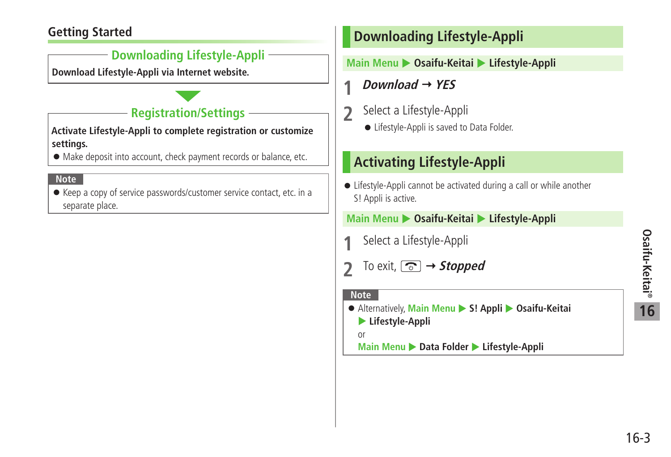# Osaifu-Keitai® **Osaifu-Keitai® 16**

#### <span id="page-2-0"></span>**Getting Started**

#### **Downloading Lifestyle-Appli**

**Download Lifestyle-Appli via Internet website.**

# **Registration/Settings**

**Activate Lifestyle-Appli to complete registration or customize settings.**

● Make deposit into account, check payment records or balance, etc.

#### **Note**

● Keep a copy of service passwords/customer service contact, etc. in a separate place.

# **Downloading Lifestyle-Appli**

#### **Main Menu** X **Osaifu-Keitai** X **Lifestyle-Appli**

**1** *Download*  $\rightarrow$  YES

- **2** Select a Lifestyle-Appli
	- Lifestyle-Appli is saved to Data Folder.

# **Activating Lifestyle-Appli**

● Lifestyle-Appli cannot be activated during a call or while another S! Appli is active.

#### **Main Menu** X **Osaifu-Keitai** X **Lifestyle-Appli**

- **1** Select a Lifestyle-Appli
- **2** To exit, *s* → *Stopped*

#### **Note**

● Alternatively, Main Menu ▶ S! Appli ▶ Osaifu-Keitai X **Lifestyle-Appli** 

or

**Main Menu ▶ Data Folder ▶ Lifestyle-Appli** 

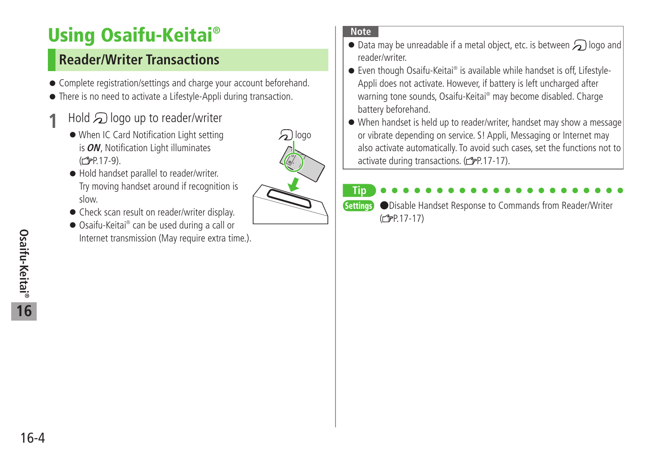# <span id="page-3-0"></span>**Using Osaifu-Keitai®**

# **Reader/Writer Transactions**

- Complete registration/settings and charge your account beforehand.
- There is no need to activate a Lifestyle-Appli during transaction.
- $1$  Hold  $\mathfrak{D}$  logo up to reader/writer
	- ●When IC Card Notification Light setting is **ON**, Notification Light illuminates  $(r^2P.17-9)$ .
	- Hold handset parallel to reader/writer. Try moving handset around if recognition is slow.
	- Check scan result on reader/writer display
	- Osaifu-Keitai® can be used during a call or Internet transmission (May require extra time.).

# $\mathfrak{D}$ logo

#### **Note**

- $\bullet$  Data may be unreadable if a metal object, etc. is between  $\bigcirc$  logo and reader/writer.
- Even though Osaifu-Keitai® is available while handset is off, Lifestyle-Appli does not activate. However, if battery is left uncharged after warning tone sounds, Osaifu-Keitai® may become disabled. Charge battery beforehand.
- When handset is held up to reader/writer, handset may show a message or vibrate depending on service. S! Appli, Messaging or Internet may also activate automatically. To avoid such cases, set the functions not to activate during transactions. ( $\mathcal{F}$ P.17-17).

#### **Tip** Settings ●Disable Handset Response to Commands from Reader/Writer  $(2P.17-17)$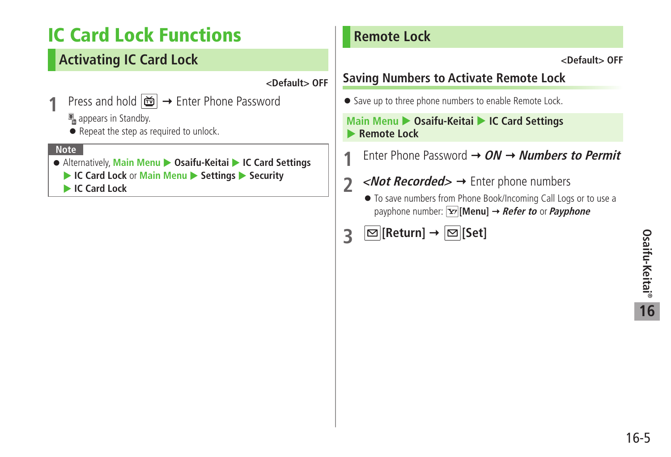# <span id="page-4-0"></span>**IC Card Lock Functions**

# **Activating IC Card Lock**

**<Default> OFF**

1 Press and hold  $\boxed{m}$  → Enter Phone Password

 $\mathbb{F}_n$  appears in Standby.

● Repeat the step as required to unlock.

#### **Note**

- Alternatively, Main Menu ▶ Osaifu-Keitai ▶ IC Card Settings
	- ▶ **IC Card Lock** or **Main Menu** ▶ Settings ▶ Security

**IC Card Lock** 

## **Remote Lock**

**<Default> OFF**

# **Saving Numbers to Activate Remote Lock**

● Save up to three phone numbers to enable Remote Lock.

#### **Main Menu > Osaifu-Keitai > IC Card Settings Remote Lock**

**1** Enter Phone Password **ON Numbers to Permit**

- **2** < *Not Recorded* > → Enter phone numbers
	- To save numbers from Phone Book/Incoming Call Logs or to use a payphone number: **[Menu] Refer to** or **Payphone**
- **3**  $\boxed{\omega}$  [Return]  $\rightarrow \boxed{\omega}$  [Set]